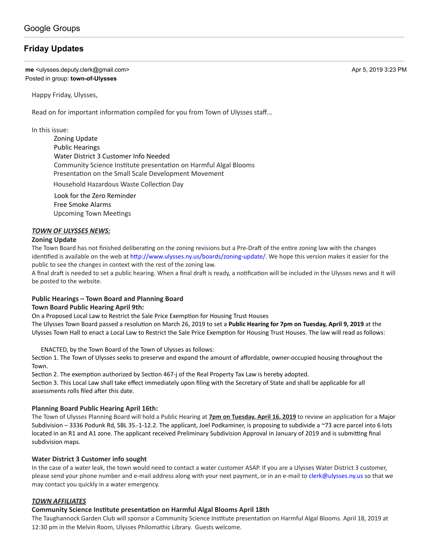# **[Friday Updates](https://groups.google.com/d/topic/town-of-ulysses/9EHneAK_6F0)**

**me** <ulysses.deputy.clerk@gmail.com> Apr 5, 2019 3:23 PM Posted in group: **[town-of-Ulysses](https://groups.google.com/d/forum/town-of-ulysses)**

Happy Friday, Ulysses,

Read on for important information compiled for you from Town of Ulysses staff...

In this issue:

Zoning Update Public Hearings Water District 3 Customer Info Needed Community Science Institute presentation on Harmful Algal Blooms Presentation on the Small Scale Development Movement

**Household Hazardous Waste Collection Day** 

 Look for the Zero Reminder Free Smoke Alarms Upcoming Town Meetings

# *TOWN OF ULYSSES NEWS:*

#### **Zoning Update**

The Town Board has not finished deliberating on the zoning revisions but a Pre-Draft of the entire zoning law with the changes identified is available on the web at http://www.ulysses.ny.us/boards/zoning-update/. We hope this version makes it easier for the public to see the changes in context with the rest of the zoning law.

A final draft is needed to set a public hearing. When a final draft is ready, a notification will be included in the Ulysses news and it will be posted to the website.

## **Public Hearings – Town Board and Planning Board**

## **Town Board Public Hearing April 9th:**

On a Proposed Local Law to Restrict the Sale Price Exemption for Housing Trust Houses

The Ulysses Town Board passed a resolution on March 26, 2019 to set a **Public Hearing for 7pm on Tuesday, April 9, 2019** at the Ulysses Town Hall to enact a Local Law to Restrict the Sale Price Exemption for Housing Trust Houses. The law will read as follows:

ENACTED, by the Town Board of the Town of Ulysses as follows:

Section 1. The Town of Ulysses seeks to preserve and expand the amount of affordable, owner-occupied housing throughout the Town.

Section 2. The exemption authorized by Section 467-j of the Real Property Tax Law is hereby adopted. Section 3. This Local Law shall take effect immediately upon filing with the Secretary of State and shall be applicable for all assessments rolls filed after this date.

## **Planning Board Public Hearing April 16th:**

The Town of Ulysses Planning Board will hold a Public Hearing at **7pm on Tuesday, April 16, 2019** to review an applicaon for a Major Subdivision – 3336 Podunk Rd, SBL 35.-1-12.2. The applicant, Joel Podkaminer, is proposing to subdivide a ~73 acre parcel into 6 lots located in an R1 and A1 zone. The applicant received Preliminary Subdivision Approval in January of 2019 and is submitting final subdivision maps.

## **Water District 3 Customer info sought**

In the case of a water leak, the town would need to contact a water customer ASAP. If you are a Ulysses Water District 3 customer, please send your phone number and e-mail address along with your next payment, or in an e-mail to [clerk@ulysses.ny.us](mailto:clerk@ulysses.ny.us) so that we may contact you quickly in a water emergency.

## *TOWN AFFILIATES*

# **Community Science Institute presentation on Harmful Algal Blooms April 18th**

The Taughannock Garden Club will sponsor a Community Science Institute presentation on Harmful Algal Blooms. April 18, 2019 at 12:30 pm in the Melvin Room, Ulysses Philomathic Library. Guests welcome.